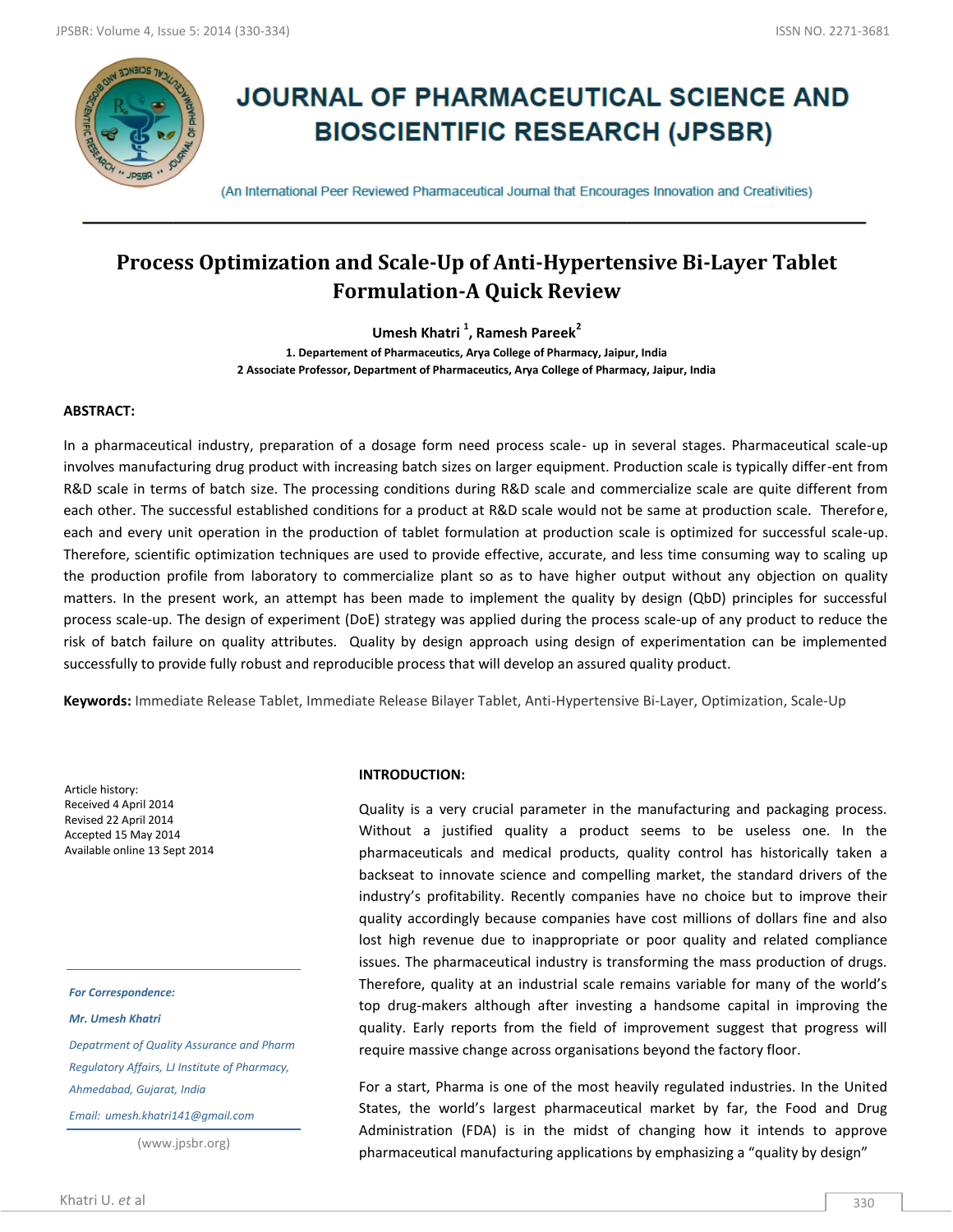

# **JOURNAL OF PHARMACEUTICAL SCIENCE AND BIOSCIENTIFIC RESEARCH (JPSBR)**

(An International Peer Reviewed Pharmaceutical Journal that Encourages Innovation and Creativities)

## **Process Optimization and Scale-Up of Anti-Hypertensive Bi-Layer Tablet Formulation-A Quick Review**

**Umesh Khatri <sup>1</sup> , Ramesh Pareek<sup>2</sup>**

**1. Departement of Pharmaceutics, Arya College of Pharmacy, Jaipur, India 2 Associate Professor, Department of Pharmaceutics, Arya College of Pharmacy, Jaipur, India**

#### **ABSTRACT:**

In a pharmaceutical industry, preparation of a dosage form need process scale- up in several stages. Pharmaceutical scale-up involves manufacturing drug product with increasing batch sizes on larger equipment. Production scale is typically differ-ent from R&D scale in terms of batch size. The processing conditions during R&D scale and commercialize scale are quite different from each other. The successful established conditions for a product at R&D scale would not be same at production scale. Therefore, each and every unit operation in the production of tablet formulation at production scale is optimized for successful scale-up. Therefore, scientific optimization techniques are used to provide effective, accurate, and less time consuming way to scaling up the production profile from laboratory to commercialize plant so as to have higher output without any objection on quality matters. In the present work, an attempt has been made to implement the quality by design (QbD) principles for successful process scale-up. The design of experiment (DoE) strategy was applied during the process scale-up of any product to reduce the risk of batch failure on quality attributes. Quality by design approach using design of experimentation can be implemented successfully to provide fully robust and reproducible process that will develop an assured quality product.

**Keywords:** Immediate Release Tablet, Immediate Release Bilayer Tablet, Anti-Hypertensive Bi-Layer, Optimization, Scale-Up

Article history: Received 4 April 2014 Revised 22 April 2014 Accepted 15 May 2014 Available online 13 Sept 2014

*For Correspondence:*

*Mr. Umesh Khatri*

*Depatrment of Quality Assurance and Pharm Regulatory Affairs, LJ Institute of Pharmacy, Ahmedabad, Gujarat, India*

*Email: umesh.khatri141@gmail.com*

(www.jpsbr.org)

#### **INTRODUCTION:**

Quality is a very crucial parameter in the manufacturing and packaging process. Without a justified quality a product seems to be useless one. In the pharmaceuticals and medical products, quality control has historically taken a backseat to innovate science and compelling market, the standard drivers of the industry's profitability. Recently companies have no choice but to improve their quality accordingly because companies have cost millions of dollars fine and also lost high revenue due to inappropriate or poor quality and related compliance issues. The pharmaceutical industry is transforming the mass production of drugs. Therefore, quality at an industrial scale remains variable for many of the world's top drug-makers although after investing a handsome capital in improving the quality. Early reports from the field of improvement suggest that progress will require massive change across organisations beyond the factory floor.

For a start, Pharma is one of the most heavily regulated industries. In the United States, the world's largest pharmaceutical market by far, the Food and Drug Administration (FDA) is in the midst of changing how it intends to approve pharmaceutical manufacturing applications by emphasizing a "quality by design"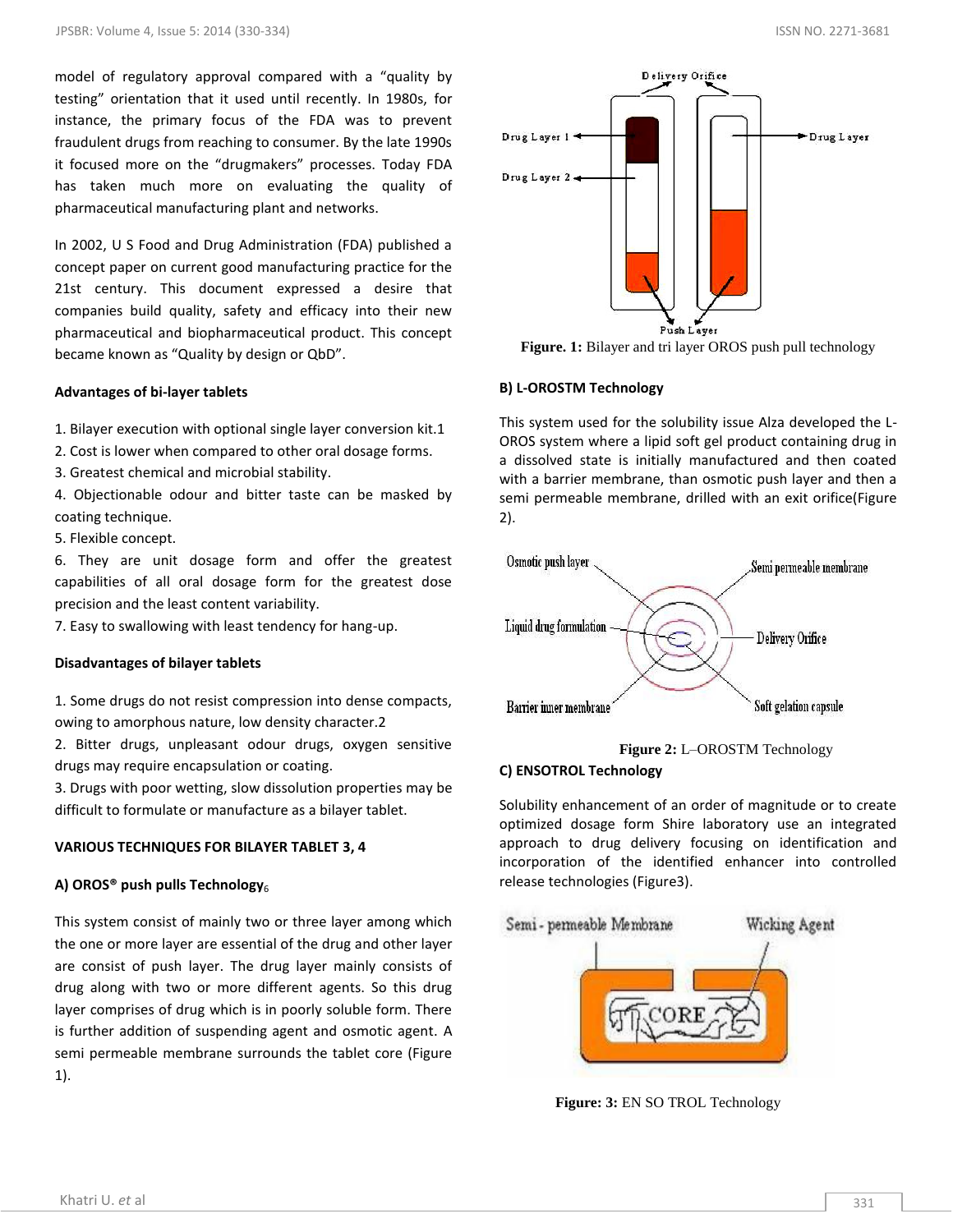model of regulatory approval compared with a "quality by testing" orientation that it used until recently. In 1980s, for instance, the primary focus of the FDA was to prevent fraudulent drugs from reaching to consumer. By the late 1990s it focused more on the "drugmakers" processes. Today FDA has taken much more on evaluating the quality of pharmaceutical manufacturing plant and networks.

In 2002, U S Food and Drug Administration (FDA) published a concept paper on current good manufacturing practice for the 21st century. This document expressed a desire that companies build quality, safety and efficacy into their new pharmaceutical and biopharmaceutical product. This concept became known as "Quality by design or QbD".

#### **Advantages of bi-layer tablets**

1. Bilayer execution with optional single layer conversion kit.1

2. Cost is lower when compared to other oral dosage forms.

3. Greatest chemical and microbial stability.

4. Objectionable odour and bitter taste can be masked by coating technique.

5. Flexible concept.

6. They are unit dosage form and offer the greatest capabilities of all oral dosage form for the greatest dose precision and the least content variability.

7. Easy to swallowing with least tendency for hang-up.

#### **Disadvantages of bilayer tablets**

1. Some drugs do not resist compression into dense compacts, owing to amorphous nature, low density character.2

2. Bitter drugs, unpleasant odour drugs, oxygen sensitive drugs may require encapsulation or coating.

3. Drugs with poor wetting, slow dissolution properties may be difficult to formulate or manufacture as a bilayer tablet.

#### **VARIOUS TECHNIQUES FOR BILAYER TABLET 3, 4**

#### A) OROS<sup>®</sup> push pulls Technology<sub>6</sub>

This system consist of mainly two or three layer among which the one or more layer are essential of the drug and other layer are consist of push layer. The drug layer mainly consists of drug along with two or more different agents. So this drug layer comprises of drug which is in poorly soluble form. There is further addition of suspending agent and osmotic agent. A semi permeable membrane surrounds the tablet core (Figure 1).



**Figure. 1:** Bilayer and tri layer OROS push pull technology

#### **B) L-OROSTM Technology**

This system used for the solubility issue Alza developed the L-OROS system where a lipid soft gel product containing drug in a dissolved state is initially manufactured and then coated with a barrier membrane, than osmotic push layer and then a semi permeable membrane, drilled with an exit orifice(Figure 2).



**Figure 2:** L–OROSTM Technology

#### **C) ENSOTROL Technology**

Solubility enhancement of an order of magnitude or to create optimized dosage form Shire laboratory use an integrated approach to drug delivery focusing on identification and incorporation of the identified enhancer into controlled release technologies (Figure3).



**Figure: 3:** EN SO TROL Technology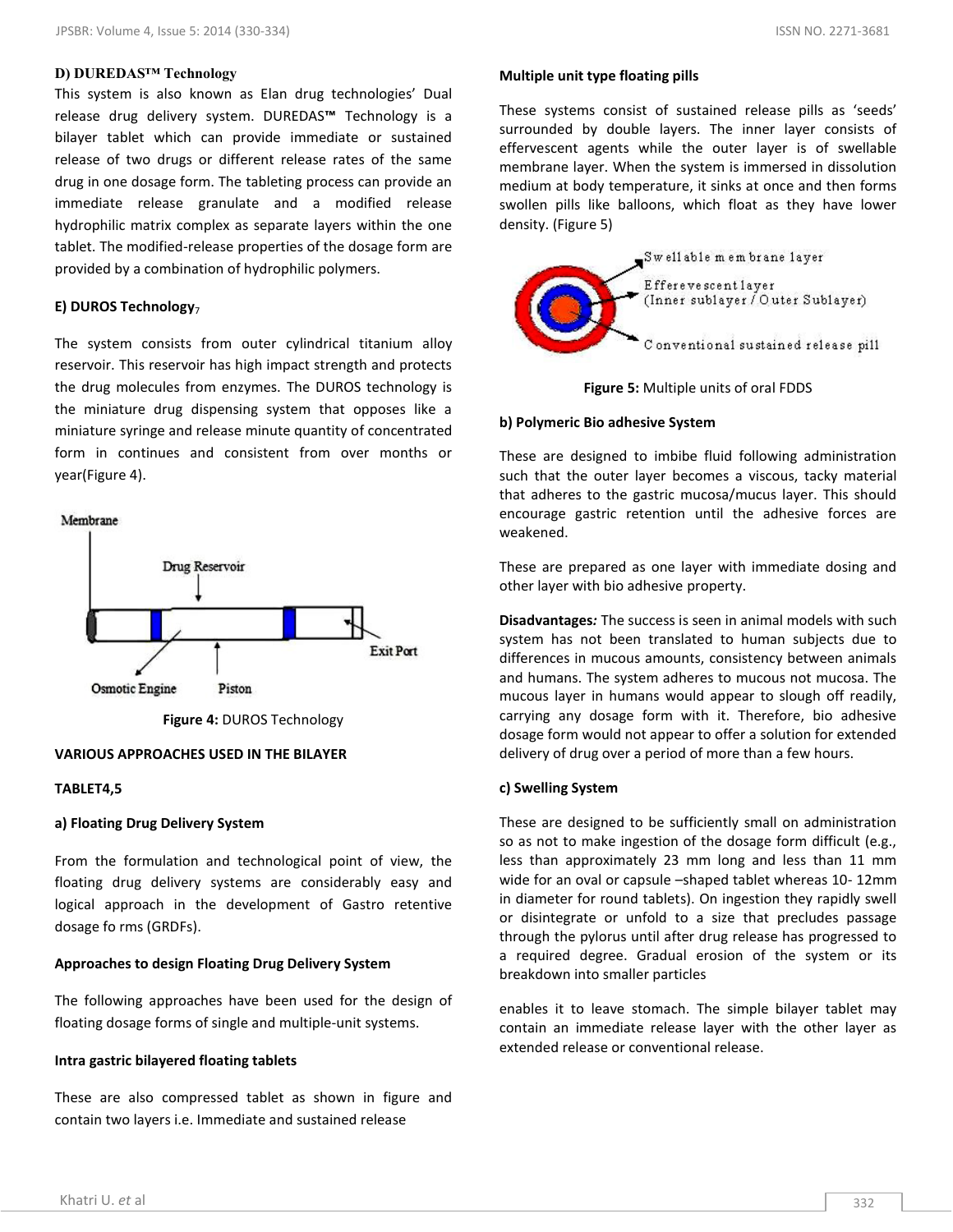## **D) DUREDAS™ Technology**

This system is also known as Elan drug technologies' Dual release drug delivery system. DUREDAS**™** Technology is a bilayer tablet which can provide immediate or sustained release of two drugs or different release rates of the same drug in one dosage form. The tableting process can provide an immediate release granulate and a modified release hydrophilic matrix complex as separate layers within the one tablet. The modified-release properties of the dosage form are provided by a combination of hydrophilic polymers.

## **E) DUROS Technology**<sup>7</sup>

The system consists from outer cylindrical titanium alloy reservoir. This reservoir has high impact strength and protects the drug molecules from enzymes. The DUROS technology is the miniature drug dispensing system that opposes like a miniature syringe and release minute quantity of concentrated form in continues and consistent from over months or year(Figure 4).





**Figure 4:** DUROS Technology

## **VARIOUS APPROACHES USED IN THE BILAYER**

#### **TABLET4,5**

## **a) Floating Drug Delivery System**

From the formulation and technological point of view, the floating drug delivery systems are considerably easy and logical approach in the development of Gastro retentive dosage fo rms (GRDFs).

## **Approaches to design Floating Drug Delivery System**

The following approaches have been used for the design of floating dosage forms of single and multiple-unit systems.

#### **Intra gastric bilayered floating tablets**

These are also compressed tablet as shown in figure and contain two layers i.e. Immediate and sustained release

## **Multiple unit type floating pills**

These systems consist of sustained release pills as 'seeds' surrounded by double layers. The inner layer consists of effervescent agents while the outer layer is of swellable membrane layer. When the system is immersed in dissolution medium at body temperature, it sinks at once and then forms swollen pills like balloons, which float as they have lower density. (Figure 5)





## **b) Polymeric Bio adhesive System**

These are designed to imbibe fluid following administration such that the outer layer becomes a viscous, tacky material that adheres to the gastric mucosa/mucus layer. This should encourage gastric retention until the adhesive forces are weakened.

These are prepared as one layer with immediate dosing and other layer with bio adhesive property.

**Disadvantages***:* The success is seen in animal models with such system has not been translated to human subjects due to differences in mucous amounts, consistency between animals and humans. The system adheres to mucous not mucosa. The mucous layer in humans would appear to slough off readily, carrying any dosage form with it. Therefore, bio adhesive dosage form would not appear to offer a solution for extended delivery of drug over a period of more than a few hours.

## **c) Swelling System**

These are designed to be sufficiently small on administration so as not to make ingestion of the dosage form difficult (e.g., less than approximately 23 mm long and less than 11 mm wide for an oval or capsule –shaped tablet whereas 10- 12mm in diameter for round tablets). On ingestion they rapidly swell or disintegrate or unfold to a size that precludes passage through the pylorus until after drug release has progressed to a required degree. Gradual erosion of the system or its breakdown into smaller particles

enables it to leave stomach. The simple bilayer tablet may contain an immediate release layer with the other layer as extended release or conventional release.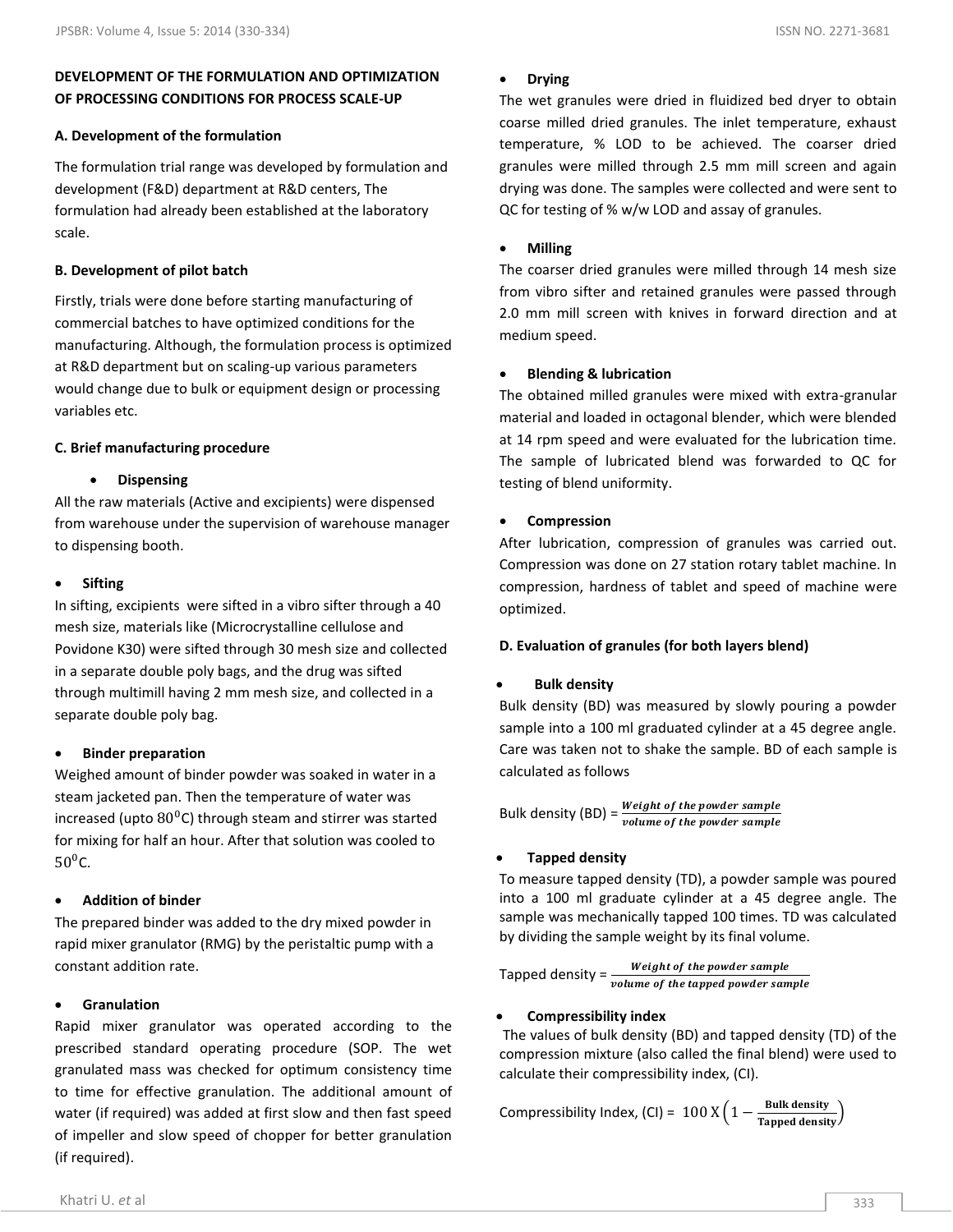## **DEVELOPMENT OF THE FORMULATION AND OPTIMIZATION OF PROCESSING CONDITIONS FOR PROCESS SCALE-UP**

#### **A. Development of the formulation**

The formulation trial range was developed by formulation and development (F&D) department at R&D centers, The formulation had already been established at the laboratory scale.

#### **B. Development of pilot batch**

Firstly, trials were done before starting manufacturing of commercial batches to have optimized conditions for the manufacturing. Although, the formulation process is optimized at R&D department but on scaling-up various parameters would change due to bulk or equipment design or processing variables etc.

#### **C. Brief manufacturing procedure**

#### **Dispensing**

All the raw materials (Active and excipients) were dispensed from warehouse under the supervision of warehouse manager to dispensing booth.

#### **Sifting**

In sifting, excipients were sifted in a vibro sifter through a 40 mesh size, materials like (Microcrystalline cellulose and Povidone K30) were sifted through 30 mesh size and collected in a separate double poly bags, and the drug was sifted through multimill having 2 mm mesh size, and collected in a separate double poly bag.

#### **Binder preparation**

Weighed amount of binder powder was soaked in water in a steam jacketed pan. Then the temperature of water was increased (upto  $80^{\circ}$ C) through steam and stirrer was started for mixing for half an hour. After that solution was cooled to  $50^{\circ}$ C.

#### **Addition of binder**

The prepared binder was added to the dry mixed powder in rapid mixer granulator (RMG) by the peristaltic pump with a constant addition rate.

## **Granulation**

Rapid mixer granulator was operated according to the prescribed standard operating procedure (SOP. The wet granulated mass was checked for optimum consistency time to time for effective granulation. The additional amount of water (if required) was added at first slow and then fast speed of impeller and slow speed of chopper for better granulation (if required).

#### **Drying**

The wet granules were dried in fluidized bed dryer to obtain coarse milled dried granules. The inlet temperature, exhaust temperature, % LOD to be achieved. The coarser dried granules were milled through 2.5 mm mill screen and again drying was done. The samples were collected and were sent to QC for testing of % w/w LOD and assay of granules.

#### **Milling**

The coarser dried granules were milled through 14 mesh size from vibro sifter and retained granules were passed through 2.0 mm mill screen with knives in forward direction and at medium speed.

#### **Blending & lubrication**

The obtained milled granules were mixed with extra-granular material and loaded in octagonal blender, which were blended at 14 rpm speed and were evaluated for the lubrication time. The sample of lubricated blend was forwarded to QC for testing of blend uniformity.

#### **Compression**

After lubrication, compression of granules was carried out. Compression was done on 27 station rotary tablet machine. In compression, hardness of tablet and speed of machine were optimized.

#### **D. Evaluation of granules (for both layers blend)**

#### **Bulk density**

Bulk density (BD) was measured by slowly pouring a powder sample into a 100 ml graduated cylinder at a 45 degree angle. Care was taken not to shake the sample. BD of each sample is calculated as follows

Bulk density (BD) =  $\frac{m}{v}$ 

#### **Tapped density**

To measure tapped density (TD), a powder sample was poured into a 100 ml graduate cylinder at a 45 degree angle. The sample was mechanically tapped 100 times. TD was calculated by dividing the sample weight by its final volume.

Weight of the powder sample Tapped density =  $\frac{1}{v}$ 

#### **Compressibility index**

The values of bulk density (BD) and tapped density (TD) of the compression mixture (also called the final blend) were used to calculate their compressibility index, (CI).

Compressibility Index, (CI) =  $100 \text{ X} \left(1 - \frac{\text{B}}{\text{Ts}}\right)$ T